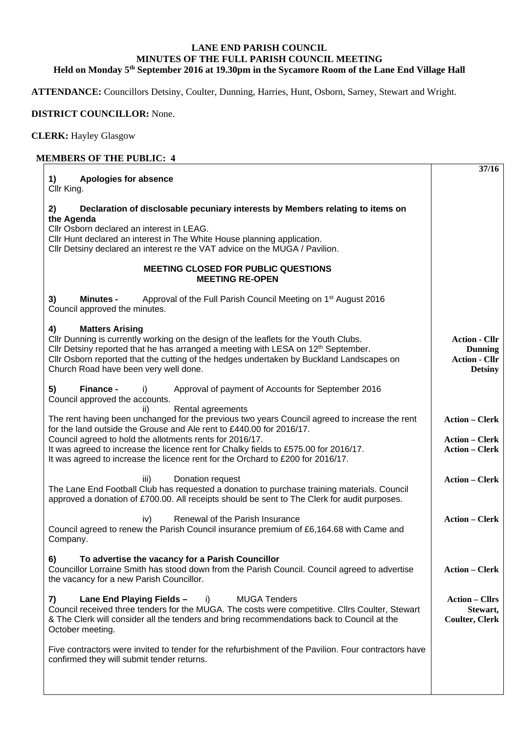## **LANE END PARISH COUNCIL MINUTES OF THE FULL PARISH COUNCIL MEETING Held on Monday 5th September 2016 at 19.30pm in the Sycamore Room of the Lane End Village Hall**

**ATTENDANCE:** Councillors Detsiny, Coulter, Dunning, Harries, Hunt, Osborn, Sarney, Stewart and Wright.

## **DISTRICT COUNCILLOR:** None.

**CLERK:** Hayley Glasgow

## **MEMBERS OF THE PUBLIC: 4**

| <b>Apologies for absence</b><br>1)<br>Cllr King.                                                                                                                                                                                                                                                                                                                                                             | 37/16                                                                            |
|--------------------------------------------------------------------------------------------------------------------------------------------------------------------------------------------------------------------------------------------------------------------------------------------------------------------------------------------------------------------------------------------------------------|----------------------------------------------------------------------------------|
| Declaration of disclosable pecuniary interests by Members relating to items on<br>2)<br>the Agenda<br>Cllr Osborn declared an interest in LEAG.<br>Cllr Hunt declared an interest in The White House planning application.<br>Cllr Detsiny declared an interest re the VAT advice on the MUGA / Pavilion.                                                                                                    |                                                                                  |
| <b>MEETING CLOSED FOR PUBLIC QUESTIONS</b><br><b>MEETING RE-OPEN</b>                                                                                                                                                                                                                                                                                                                                         |                                                                                  |
| Approval of the Full Parish Council Meeting on 1 <sup>st</sup> August 2016<br>3)<br><b>Minutes -</b><br>Council approved the minutes.                                                                                                                                                                                                                                                                        |                                                                                  |
| <b>Matters Arising</b><br>4)<br>Cllr Dunning is currently working on the design of the leaflets for the Youth Clubs.<br>Cllr Detsiny reported that he has arranged a meeting with LESA on 12 <sup>th</sup> September.<br>Cllr Osborn reported that the cutting of the hedges undertaken by Buckland Landscapes on<br>Church Road have been very well done.                                                   | <b>Action - Cllr</b><br><b>Dunning</b><br><b>Action - Cllr</b><br><b>Detsiny</b> |
| 5)<br>Finance -<br>Approval of payment of Accounts for September 2016<br>i)<br>Council approved the accounts.<br>Rental agreements<br>ii)                                                                                                                                                                                                                                                                    |                                                                                  |
| The rent having been unchanged for the previous two years Council agreed to increase the rent<br>for the land outside the Grouse and Ale rent to £440.00 for 2016/17.<br>Council agreed to hold the allotments rents for 2016/17.<br>It was agreed to increase the licence rent for Chalky fields to £575.00 for 2016/17.<br>It was agreed to increase the licence rent for the Orchard to £200 for 2016/17. | <b>Action - Clerk</b><br><b>Action – Clerk</b><br><b>Action - Clerk</b>          |
| Donation request<br>iii)<br>The Lane End Football Club has requested a donation to purchase training materials. Council<br>approved a donation of £700.00. All receipts should be sent to The Clerk for audit purposes.                                                                                                                                                                                      | <b>Action - Clerk</b>                                                            |
| Renewal of the Parish Insurance<br>iv)<br>Council agreed to renew the Parish Council insurance premium of £6,164.68 with Came and<br>Company.                                                                                                                                                                                                                                                                | <b>Action – Clerk</b>                                                            |
| 6)<br>To advertise the vacancy for a Parish Councillor<br>Councillor Lorraine Smith has stood down from the Parish Council. Council agreed to advertise<br>the vacancy for a new Parish Councillor.                                                                                                                                                                                                          | <b>Action – Clerk</b>                                                            |
| Lane End Playing Fields -<br><b>MUGA Tenders</b><br>7)<br>i)<br>Council received three tenders for the MUGA. The costs were competitive. Cllrs Coulter, Stewart<br>& The Clerk will consider all the tenders and bring recommendations back to Council at the<br>October meeting.                                                                                                                            | <b>Action – Cllrs</b><br>Stewart,<br><b>Coulter, Clerk</b>                       |
| Five contractors were invited to tender for the refurbishment of the Pavilion. Four contractors have<br>confirmed they will submit tender returns.                                                                                                                                                                                                                                                           |                                                                                  |
|                                                                                                                                                                                                                                                                                                                                                                                                              |                                                                                  |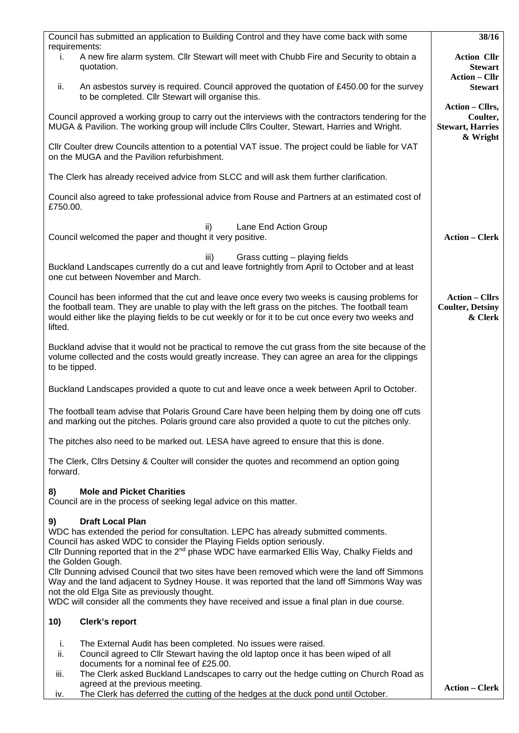| Council has submitted an application to Building Control and they have come back with some                                                                                                                                                                                                                                                   | 38/16                                                              |
|----------------------------------------------------------------------------------------------------------------------------------------------------------------------------------------------------------------------------------------------------------------------------------------------------------------------------------------------|--------------------------------------------------------------------|
| requirements:<br>A new fire alarm system. Cllr Stewart will meet with Chubb Fire and Security to obtain a<br>Τ.<br>quotation.                                                                                                                                                                                                                | <b>Action Cllr</b><br><b>Stewart</b>                               |
| An asbestos survey is required. Council approved the quotation of £450.00 for the survey<br>ii.<br>to be completed. Cllr Stewart will organise this.                                                                                                                                                                                         | <b>Action – Cllr</b><br><b>Stewart</b>                             |
| Council approved a working group to carry out the interviews with the contractors tendering for the<br>MUGA & Pavilion. The working group will include Cllrs Coulter, Stewart, Harries and Wright.                                                                                                                                           | Action - Cllrs,<br>Coulter,<br><b>Stewart, Harries</b><br>& Wright |
| CIIr Coulter drew Councils attention to a potential VAT issue. The project could be liable for VAT<br>on the MUGA and the Pavilion refurbishment.                                                                                                                                                                                            |                                                                    |
| The Clerk has already received advice from SLCC and will ask them further clarification.                                                                                                                                                                                                                                                     |                                                                    |
| Council also agreed to take professional advice from Rouse and Partners at an estimated cost of<br>£750.00.                                                                                                                                                                                                                                  |                                                                    |
| Lane End Action Group<br>ii)<br>Council welcomed the paper and thought it very positive.                                                                                                                                                                                                                                                     | <b>Action - Clerk</b>                                              |
| Grass cutting – playing fields<br>iii)<br>Buckland Landscapes currently do a cut and leave fortnightly from April to October and at least<br>one cut between November and March.                                                                                                                                                             |                                                                    |
| Council has been informed that the cut and leave once every two weeks is causing problems for<br>the football team. They are unable to play with the left grass on the pitches. The football team<br>would either like the playing fields to be cut weekly or for it to be cut once every two weeks and<br>lifted.                           | <b>Action - Cllrs</b><br><b>Coulter, Detsiny</b><br>& Clerk        |
| Buckland advise that it would not be practical to remove the cut grass from the site because of the<br>volume collected and the costs would greatly increase. They can agree an area for the clippings<br>to be tipped.                                                                                                                      |                                                                    |
| Buckland Landscapes provided a quote to cut and leave once a week between April to October.                                                                                                                                                                                                                                                  |                                                                    |
| The football team advise that Polaris Ground Care have been helping them by doing one off cuts<br>and marking out the pitches. Polaris ground care also provided a quote to cut the pitches only.                                                                                                                                            |                                                                    |
| The pitches also need to be marked out. LESA have agreed to ensure that this is done.                                                                                                                                                                                                                                                        |                                                                    |
| The Clerk, Clirs Detsiny & Coulter will consider the quotes and recommend an option going<br>forward.                                                                                                                                                                                                                                        |                                                                    |
| <b>Mole and Picket Charities</b><br>8)<br>Council are in the process of seeking legal advice on this matter.                                                                                                                                                                                                                                 |                                                                    |
| <b>Draft Local Plan</b><br>9)<br>WDC has extended the period for consultation. LEPC has already submitted comments.<br>Council has asked WDC to consider the Playing Fields option seriously.<br>Cllr Dunning reported that in the 2 <sup>nd</sup> phase WDC have earmarked Ellis Way, Chalky Fields and<br>the Golden Gough.                |                                                                    |
| Cllr Dunning advised Council that two sites have been removed which were the land off Simmons<br>Way and the land adjacent to Sydney House. It was reported that the land off Simmons Way was<br>not the old Elga Site as previously thought.<br>WDC will consider all the comments they have received and issue a final plan in due course. |                                                                    |
| Clerk's report<br>10)                                                                                                                                                                                                                                                                                                                        |                                                                    |
| i.<br>The External Audit has been completed. No issues were raised.                                                                                                                                                                                                                                                                          |                                                                    |
| Council agreed to Cllr Stewart having the old laptop once it has been wiped of all<br>ii.<br>documents for a nominal fee of £25.00.                                                                                                                                                                                                          |                                                                    |
| The Clerk asked Buckland Landscapes to carry out the hedge cutting on Church Road as<br>iii.<br>agreed at the previous meeting.<br>The Clerk has deferred the cutting of the hedges at the duck pond until October.<br>iv.                                                                                                                   | <b>Action - Clerk</b>                                              |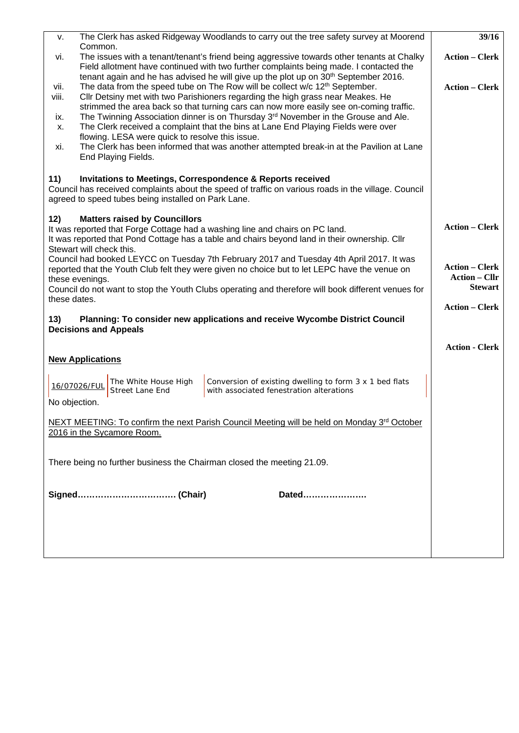| v.                                                                     | The Clerk has asked Ridgeway Woodlands to carry out the tree safety survey at Moorend                                                                                                          | 39/16                                         |  |  |  |
|------------------------------------------------------------------------|------------------------------------------------------------------------------------------------------------------------------------------------------------------------------------------------|-----------------------------------------------|--|--|--|
| vi.                                                                    | Common.<br>The issues with a tenant/tenant's friend being aggressive towards other tenants at Chalky<br>Field allotment have continued with two further complaints being made. I contacted the |                                               |  |  |  |
|                                                                        | tenant again and he has advised he will give up the plot up on $30th$ September 2016.                                                                                                          | <b>Action - Clerk</b>                         |  |  |  |
| viii.                                                                  | The data from the speed tube on The Row will be collect w/c 12 <sup>th</sup> September.<br>vii.<br>Cllr Detsiny met with two Parishioners regarding the high grass near Meakes. He             |                                               |  |  |  |
|                                                                        | strimmed the area back so that turning cars can now more easily see on-coming traffic.                                                                                                         |                                               |  |  |  |
| ix.<br>Х.                                                              | The Twinning Association dinner is on Thursday 3 <sup>rd</sup> November in the Grouse and Ale.<br>The Clerk received a complaint that the bins at Lane End Playing Fields were over            |                                               |  |  |  |
|                                                                        | flowing. LESA were quick to resolve this issue.                                                                                                                                                |                                               |  |  |  |
| xi.                                                                    | The Clerk has been informed that was another attempted break-in at the Pavilion at Lane<br>End Playing Fields.                                                                                 |                                               |  |  |  |
| 11)                                                                    | <b>Invitations to Meetings, Correspondence &amp; Reports received</b>                                                                                                                          |                                               |  |  |  |
|                                                                        | Council has received complaints about the speed of traffic on various roads in the village. Council<br>agreed to speed tubes being installed on Park Lane.                                     |                                               |  |  |  |
| 12)                                                                    | <b>Matters raised by Councillors</b>                                                                                                                                                           |                                               |  |  |  |
|                                                                        | It was reported that Forge Cottage had a washing line and chairs on PC land.<br>It was reported that Pond Cottage has a table and chairs beyond land in their ownership. Cllr                  | <b>Action – Clerk</b>                         |  |  |  |
|                                                                        | Stewart will check this.<br>Council had booked LEYCC on Tuesday 7th February 2017 and Tuesday 4th April 2017. It was                                                                           |                                               |  |  |  |
|                                                                        | reported that the Youth Club felt they were given no choice but to let LEPC have the venue on                                                                                                  | <b>Action - Clerk</b><br><b>Action – Cllr</b> |  |  |  |
|                                                                        | these evenings.<br>Council do not want to stop the Youth Clubs operating and therefore will book different venues for                                                                          | <b>Stewart</b>                                |  |  |  |
| these dates.                                                           |                                                                                                                                                                                                | <b>Action – Clerk</b>                         |  |  |  |
| 13)<br><b>Decisions and Appeals</b>                                    |                                                                                                                                                                                                |                                               |  |  |  |
|                                                                        |                                                                                                                                                                                                | <b>Action - Clerk</b>                         |  |  |  |
|                                                                        | <b>New Applications</b>                                                                                                                                                                        |                                               |  |  |  |
|                                                                        |                                                                                                                                                                                                |                                               |  |  |  |
|                                                                        | The White House High<br>Conversion of existing dwelling to form 3 x 1 bed flats<br>16/07026/FUL<br>with associated fenestration alterations<br>Street Lane End                                 |                                               |  |  |  |
| No objection.                                                          |                                                                                                                                                                                                |                                               |  |  |  |
|                                                                        | NEXT MEETING: To confirm the next Parish Council Meeting will be held on Monday 3rd October                                                                                                    |                                               |  |  |  |
|                                                                        | 2016 in the Sycamore Room.                                                                                                                                                                     |                                               |  |  |  |
|                                                                        |                                                                                                                                                                                                |                                               |  |  |  |
| There being no further business the Chairman closed the meeting 21.09. |                                                                                                                                                                                                |                                               |  |  |  |
|                                                                        |                                                                                                                                                                                                |                                               |  |  |  |
|                                                                        | Dated                                                                                                                                                                                          |                                               |  |  |  |
|                                                                        |                                                                                                                                                                                                |                                               |  |  |  |
|                                                                        |                                                                                                                                                                                                |                                               |  |  |  |
|                                                                        |                                                                                                                                                                                                |                                               |  |  |  |
|                                                                        |                                                                                                                                                                                                |                                               |  |  |  |